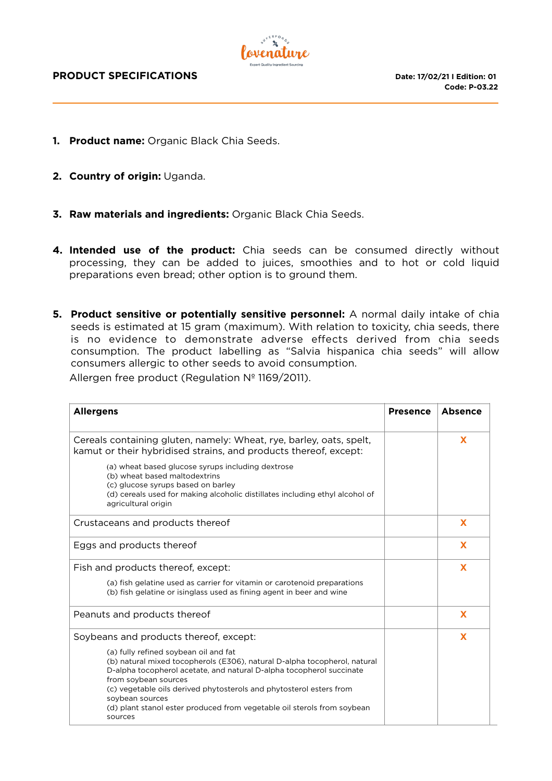

- **1. Product name:** Organic Black Chia Seeds.
- **2. Country of origin:** Uganda.
- **3. Raw materials and ingredients:** Organic Black Chia Seeds.
- **4. Intended use of the product:** Chia seeds can be consumed directly without processing, they can be added to juices, smoothies and to hot or cold liquid preparations even bread; other option is to ground them.
- **5. Product sensitive or potentially sensitive personnel:** A normal daily intake of chia seeds is estimated at 15 gram (maximum). With relation to toxicity, chia seeds, there is no evidence to demonstrate adverse effects derived from chia seeds consumption. The product labelling as "Salvia hispanica chia seeds" will allow consumers allergic to other seeds to avoid consumption.

Allergen free product (Regulation Nº 1169/2011).

| <b>Allergens</b>                                                                                                                                                                                                                                                                                                                                                                                   | <b>Presence</b> | <b>Absence</b> |
|----------------------------------------------------------------------------------------------------------------------------------------------------------------------------------------------------------------------------------------------------------------------------------------------------------------------------------------------------------------------------------------------------|-----------------|----------------|
| Cereals containing gluten, namely: Wheat, rye, barley, oats, spelt,<br>kamut or their hybridised strains, and products thereof, except:                                                                                                                                                                                                                                                            |                 | X              |
| (a) wheat based glucose syrups including dextrose<br>(b) wheat based maltodextrins<br>(c) glucose syrups based on barley<br>(d) cereals used for making alcoholic distillates including ethyl alcohol of<br>agricultural origin                                                                                                                                                                    |                 |                |
| Crustaceans and products thereof                                                                                                                                                                                                                                                                                                                                                                   |                 | X              |
| Eggs and products thereof                                                                                                                                                                                                                                                                                                                                                                          |                 | X              |
| Fish and products thereof, except:                                                                                                                                                                                                                                                                                                                                                                 |                 | X              |
| (a) fish gelatine used as carrier for vitamin or carotenoid preparations<br>(b) fish gelatine or isinglass used as fining agent in beer and wine                                                                                                                                                                                                                                                   |                 |                |
| Peanuts and products thereof                                                                                                                                                                                                                                                                                                                                                                       |                 | X              |
| Soybeans and products thereof, except:                                                                                                                                                                                                                                                                                                                                                             |                 | X              |
| (a) fully refined soybean oil and fat<br>(b) natural mixed tocopherols (E306), natural D-alpha tocopherol, natural<br>D-alpha tocopherol acetate, and natural D-alpha tocopherol succinate<br>from soybean sources<br>(c) vegetable oils derived phytosterols and phytosterol esters from<br>soybean sources<br>(d) plant stanol ester produced from vegetable oil sterols from soybean<br>sources |                 |                |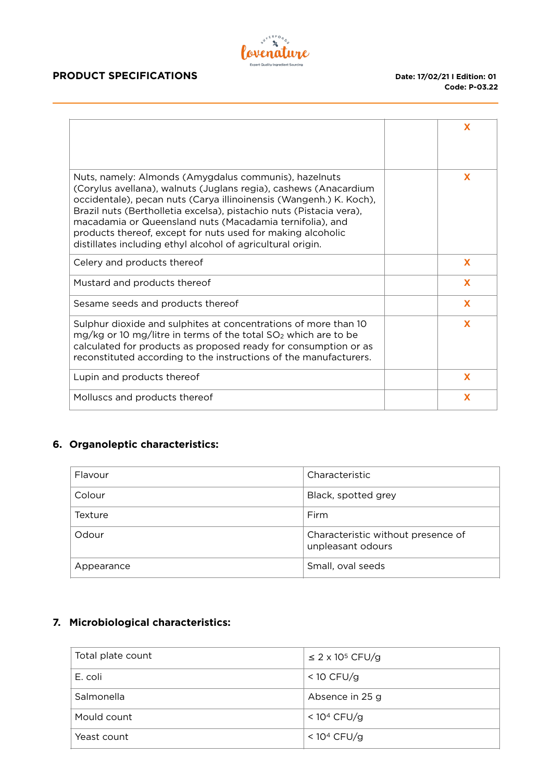# $\mathbf{z}_b$ Covenature

### **PRODUCT SPECIFICATIONS** Date: 17/02/21 I Edition: 01

|                                                                                                                                                                                                                                                                                                                                                                                                                                                                  | X        |
|------------------------------------------------------------------------------------------------------------------------------------------------------------------------------------------------------------------------------------------------------------------------------------------------------------------------------------------------------------------------------------------------------------------------------------------------------------------|----------|
| Nuts, namely: Almonds (Amygdalus communis), hazelnuts<br>(Corylus avellana), walnuts (Juglans regia), cashews (Anacardium<br>occidentale), pecan nuts (Carya illinoinensis (Wangenh.) K. Koch),<br>Brazil nuts (Bertholletia excelsa), pistachio nuts (Pistacia vera),<br>macadamia or Queensland nuts (Macadamia ternifolia), and<br>products thereof, except for nuts used for making alcoholic<br>distillates including ethyl alcohol of agricultural origin. | X        |
| Celery and products thereof                                                                                                                                                                                                                                                                                                                                                                                                                                      | X        |
| Mustard and products thereof                                                                                                                                                                                                                                                                                                                                                                                                                                     | X        |
| Sesame seeds and products thereof                                                                                                                                                                                                                                                                                                                                                                                                                                | <b>X</b> |
| Sulphur dioxide and sulphites at concentrations of more than 10<br>$mg/kg$ or 10 mg/litre in terms of the total $SO2$ which are to be<br>calculated for products as proposed ready for consumption or as<br>reconstituted according to the instructions of the manufacturers.                                                                                                                                                                                    | X        |
| Lupin and products thereof                                                                                                                                                                                                                                                                                                                                                                                                                                       | X        |
| Molluscs and products thereof                                                                                                                                                                                                                                                                                                                                                                                                                                    | X        |

## **6. Organoleptic characteristics:**

| Flavour    | Characteristic                                          |
|------------|---------------------------------------------------------|
| Colour     | Black, spotted grey                                     |
| Texture    | Firm                                                    |
| Odour      | Characteristic without presence of<br>unpleasant odours |
| Appearance | Small, oval seeds                                       |

## **7. Microbiological characteristics:**

| Total plate count | $\leq$ 2 x 10 <sup>5</sup> CFU/g |
|-------------------|----------------------------------|
| E. coli           | $<$ 10 CFU/g                     |
| Salmonella        | Absence in 25 g                  |
| Mould count       | < $10^4$ CFU/g                   |
| Yeast count       | < $10^4$ CFU/g                   |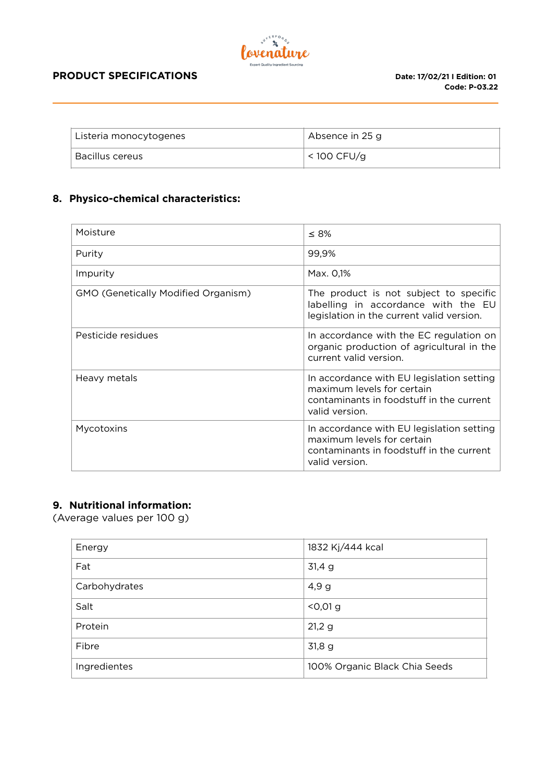

#### **PRODUCT SPECIFICATIONS** Date: 17/02/21 I Edition: 01

| Listeria monocytogenes | Absence in 25 g |
|------------------------|-----------------|
| Bacillus cereus        | $<$ 100 CFU/g   |

### **8. Physico-chemical characteristics:**

| Moisture                                   | $\leq 8\%$                                                                                                                            |
|--------------------------------------------|---------------------------------------------------------------------------------------------------------------------------------------|
| Purity                                     | 99,9%                                                                                                                                 |
| Impurity                                   | Max. 0,1%                                                                                                                             |
| <b>GMO (Genetically Modified Organism)</b> | The product is not subject to specific<br>labelling in accordance with the EU<br>legislation in the current valid version.            |
| Pesticide residues                         | In accordance with the EC regulation on<br>organic production of agricultural in the<br>current valid version.                        |
| Heavy metals                               | In accordance with EU legislation setting<br>maximum levels for certain<br>contaminants in foodstuff in the current<br>valid version. |
| Mycotoxins                                 | In accordance with EU legislation setting<br>maximum levels for certain<br>contaminants in foodstuff in the current<br>valid version. |

## **9. Nutritional information:**

(Average values per 100 g)

| Energy        | 1832 Kj/444 kcal              |
|---------------|-------------------------------|
| Fat           | 31,4 g                        |
| Carbohydrates | 4,9g                          |
| Salt          | $< 0.01$ g                    |
| Protein       | 21,29                         |
| Fibre         | 31,8g                         |
| Ingredientes  | 100% Organic Black Chia Seeds |